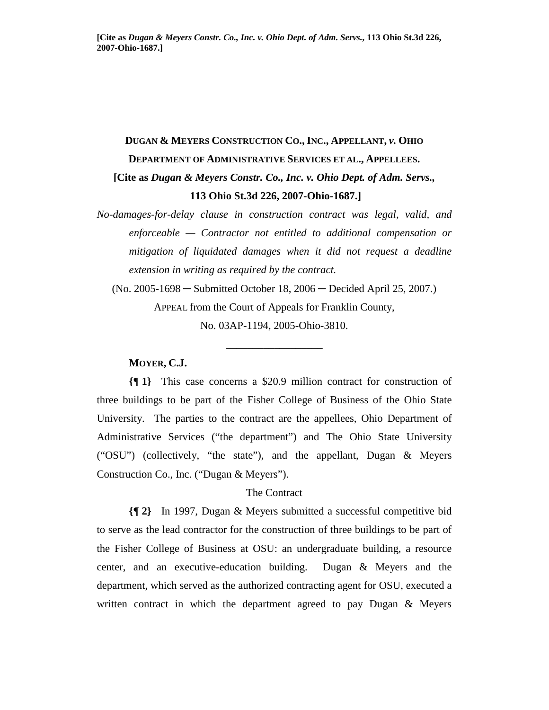# **DUGAN & MEYERS CONSTRUCTION CO., INC., APPELLANT,** *v.* **OHIO DEPARTMENT OF ADMINISTRATIVE SERVICES ET AL., APPELLEES. [Cite as** *Dugan & Meyers Constr. Co., Inc. v. Ohio Dept. of Adm. Servs.,*   **113 Ohio St.3d 226, 2007-Ohio-1687.]**

*No-damages-for-delay clause in construction contract was legal, valid, and enforceable — Contractor not entitled to additional compensation or mitigation of liquidated damages when it did not request a deadline extension in writing as required by the contract.* 

(No. 2005-1698 ─ Submitted October 18, 2006 ─ Decided April 25, 2007.) APPEAL from the Court of Appeals for Franklin County, No. 03AP-1194, 2005-Ohio-3810.

\_\_\_\_\_\_\_\_\_\_\_\_\_\_\_\_\_\_

#### **MOYER, C.J.**

**{¶ 1}** This case concerns a \$20.9 million contract for construction of three buildings to be part of the Fisher College of Business of the Ohio State University. The parties to the contract are the appellees, Ohio Department of Administrative Services ("the department") and The Ohio State University ("OSU") (collectively, "the state"), and the appellant, Dugan & Meyers Construction Co., Inc. ("Dugan & Meyers").

# The Contract

**{¶ 2}** In 1997, Dugan & Meyers submitted a successful competitive bid to serve as the lead contractor for the construction of three buildings to be part of the Fisher College of Business at OSU: an undergraduate building, a resource center, and an executive-education building. Dugan & Meyers and the department, which served as the authorized contracting agent for OSU, executed a written contract in which the department agreed to pay Dugan & Meyers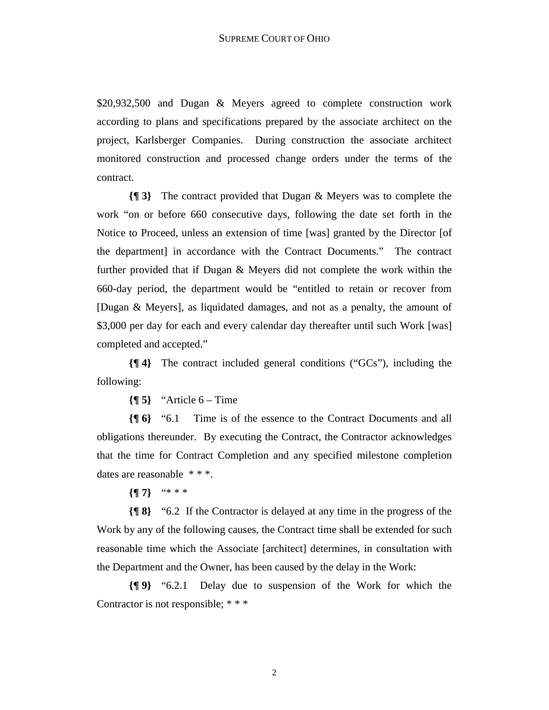\$20,932,500 and Dugan & Meyers agreed to complete construction work according to plans and specifications prepared by the associate architect on the project, Karlsberger Companies. During construction the associate architect monitored construction and processed change orders under the terms of the contract.

**{¶ 3}** The contract provided that Dugan & Meyers was to complete the work "on or before 660 consecutive days, following the date set forth in the Notice to Proceed, unless an extension of time [was] granted by the Director [of the department] in accordance with the Contract Documents." The contract further provided that if Dugan & Meyers did not complete the work within the 660-day period, the department would be "entitled to retain or recover from [Dugan & Meyers], as liquidated damages, and not as a penalty, the amount of \$3,000 per day for each and every calendar day thereafter until such Work [was] completed and accepted."

**{¶ 4}** The contract included general conditions ("GCs"), including the following:

 ${\sqrt{9}5}$  "Article 6 – Time"

**{¶ 6}** "6.1 Time is of the essence to the Contract Documents and all obligations thereunder. By executing the Contract, the Contractor acknowledges that the time for Contract Completion and any specified milestone completion dates are reasonable  $***$ .

**{¶ 7}** "\* \* \*

**{¶ 8}** "6.2 If the Contractor is delayed at any time in the progress of the Work by any of the following causes, the Contract time shall be extended for such reasonable time which the Associate [architect] determines, in consultation with the Department and the Owner, has been caused by the delay in the Work:

**{¶ 9}** "6.2.1 Delay due to suspension of the Work for which the Contractor is not responsible; \* \* \*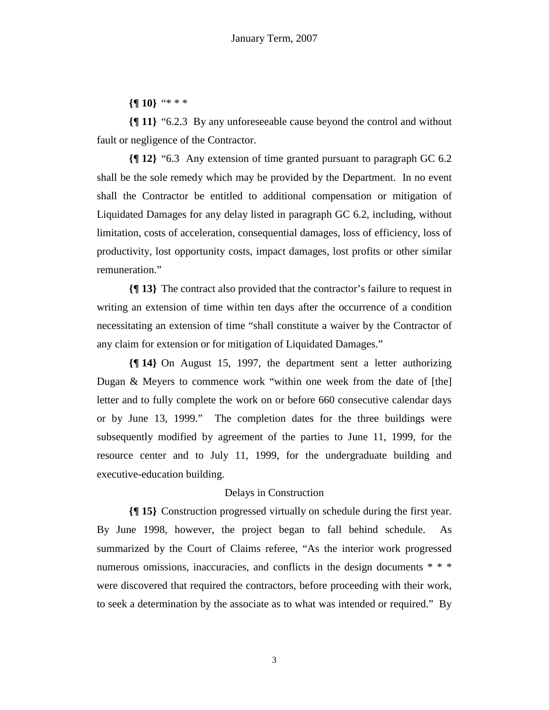**{¶ 10}** "\* \* \*

**{¶ 11}** "6.2.3 By any unforeseeable cause beyond the control and without fault or negligence of the Contractor.

**{¶ 12}** "6.3 Any extension of time granted pursuant to paragraph GC 6.2 shall be the sole remedy which may be provided by the Department. In no event shall the Contractor be entitled to additional compensation or mitigation of Liquidated Damages for any delay listed in paragraph GC 6.2, including, without limitation, costs of acceleration, consequential damages, loss of efficiency, loss of productivity, lost opportunity costs, impact damages, lost profits or other similar remuneration."

**{¶ 13}** The contract also provided that the contractor's failure to request in writing an extension of time within ten days after the occurrence of a condition necessitating an extension of time "shall constitute a waiver by the Contractor of any claim for extension or for mitigation of Liquidated Damages."

**{¶ 14}** On August 15, 1997, the department sent a letter authorizing Dugan & Meyers to commence work "within one week from the date of [the] letter and to fully complete the work on or before 660 consecutive calendar days or by June 13, 1999." The completion dates for the three buildings were subsequently modified by agreement of the parties to June 11, 1999, for the resource center and to July 11, 1999, for the undergraduate building and executive-education building.

#### Delays in Construction

**{¶ 15}** Construction progressed virtually on schedule during the first year. By June 1998, however, the project began to fall behind schedule. As summarized by the Court of Claims referee, "As the interior work progressed numerous omissions, inaccuracies, and conflicts in the design documents \* \* \* were discovered that required the contractors, before proceeding with their work, to seek a determination by the associate as to what was intended or required." By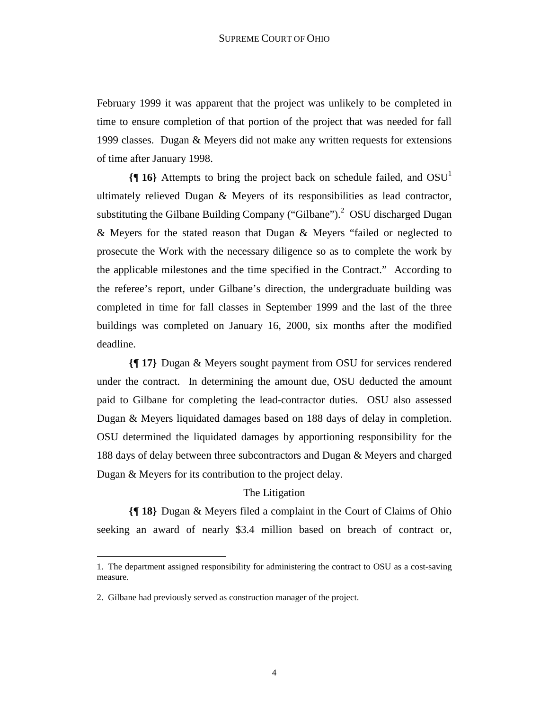February 1999 it was apparent that the project was unlikely to be completed in time to ensure completion of that portion of the project that was needed for fall 1999 classes. Dugan & Meyers did not make any written requests for extensions of time after January 1998.

**{¶ 16}** Attempts to bring the project back on schedule failed, and OSU1 ultimately relieved Dugan & Meyers of its responsibilities as lead contractor, substituting the Gilbane Building Company ("Gilbane").<sup>2</sup> OSU discharged Dugan & Meyers for the stated reason that Dugan & Meyers "failed or neglected to prosecute the Work with the necessary diligence so as to complete the work by the applicable milestones and the time specified in the Contract." According to the referee's report, under Gilbane's direction, the undergraduate building was completed in time for fall classes in September 1999 and the last of the three buildings was completed on January 16, 2000, six months after the modified deadline.

**{¶ 17}** Dugan & Meyers sought payment from OSU for services rendered under the contract. In determining the amount due, OSU deducted the amount paid to Gilbane for completing the lead-contractor duties. OSU also assessed Dugan & Meyers liquidated damages based on 188 days of delay in completion. OSU determined the liquidated damages by apportioning responsibility for the 188 days of delay between three subcontractors and Dugan & Meyers and charged Dugan & Meyers for its contribution to the project delay.

### The Litigation

**{¶ 18}** Dugan & Meyers filed a complaint in the Court of Claims of Ohio seeking an award of nearly \$3.4 million based on breach of contract or,

<sup>1.</sup> The department assigned responsibility for administering the contract to OSU as a cost-saving measure.

<sup>2.</sup> Gilbane had previously served as construction manager of the project.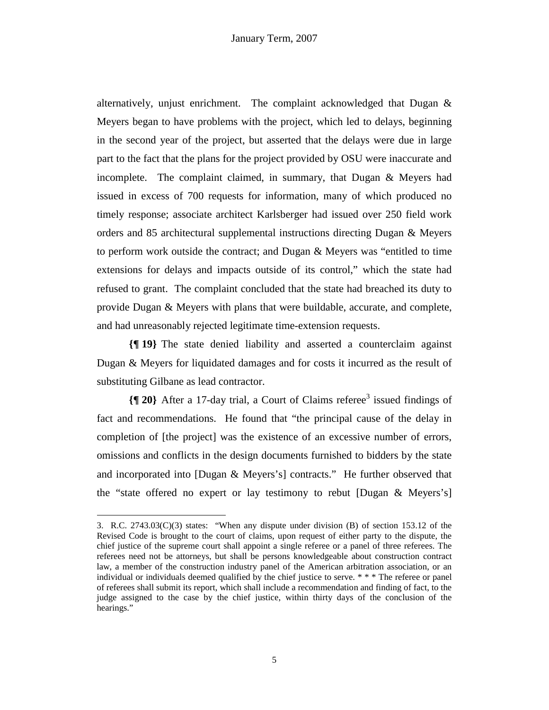alternatively, unjust enrichment. The complaint acknowledged that Dugan & Meyers began to have problems with the project, which led to delays, beginning in the second year of the project, but asserted that the delays were due in large part to the fact that the plans for the project provided by OSU were inaccurate and incomplete. The complaint claimed, in summary, that Dugan & Meyers had issued in excess of 700 requests for information, many of which produced no timely response; associate architect Karlsberger had issued over 250 field work orders and 85 architectural supplemental instructions directing Dugan & Meyers to perform work outside the contract; and Dugan & Meyers was "entitled to time extensions for delays and impacts outside of its control," which the state had refused to grant. The complaint concluded that the state had breached its duty to provide Dugan & Meyers with plans that were buildable, accurate, and complete, and had unreasonably rejected legitimate time-extension requests.

**{¶ 19}** The state denied liability and asserted a counterclaim against Dugan & Meyers for liquidated damages and for costs it incurred as the result of substituting Gilbane as lead contractor.

**{**[20} After a 17-day trial, a Court of Claims referee<sup>3</sup> issued findings of fact and recommendations. He found that "the principal cause of the delay in completion of [the project] was the existence of an excessive number of errors, omissions and conflicts in the design documents furnished to bidders by the state and incorporated into [Dugan & Meyers's] contracts." He further observed that the "state offered no expert or lay testimony to rebut [Dugan & Meyers's]

<sup>3.</sup> R.C. 2743.03(C)(3) states: "When any dispute under division (B) of section 153.12 of the Revised Code is brought to the court of claims, upon request of either party to the dispute, the chief justice of the supreme court shall appoint a single referee or a panel of three referees. The referees need not be attorneys, but shall be persons knowledgeable about construction contract law, a member of the construction industry panel of the American arbitration association, or an individual or individuals deemed qualified by the chief justice to serve. \* \* \* The referee or panel of referees shall submit its report, which shall include a recommendation and finding of fact, to the judge assigned to the case by the chief justice, within thirty days of the conclusion of the hearings."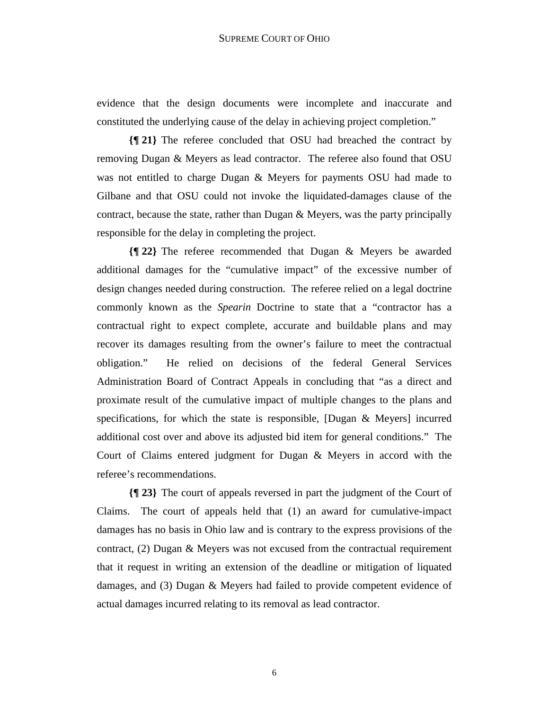evidence that the design documents were incomplete and inaccurate and constituted the underlying cause of the delay in achieving project completion."

**{¶ 21}** The referee concluded that OSU had breached the contract by removing Dugan & Meyers as lead contractor. The referee also found that OSU was not entitled to charge Dugan & Meyers for payments OSU had made to Gilbane and that OSU could not invoke the liquidated-damages clause of the contract, because the state, rather than Dugan & Meyers, was the party principally responsible for the delay in completing the project.

**{¶ 22}** The referee recommended that Dugan & Meyers be awarded additional damages for the "cumulative impact" of the excessive number of design changes needed during construction. The referee relied on a legal doctrine commonly known as the *Spearin* Doctrine to state that a "contractor has a contractual right to expect complete, accurate and buildable plans and may recover its damages resulting from the owner's failure to meet the contractual obligation." He relied on decisions of the federal General Services Administration Board of Contract Appeals in concluding that "as a direct and proximate result of the cumulative impact of multiple changes to the plans and specifications, for which the state is responsible,  $[Dugan \& Mevers]$  incurred additional cost over and above its adjusted bid item for general conditions." The Court of Claims entered judgment for Dugan & Meyers in accord with the referee's recommendations.

**{¶ 23}** The court of appeals reversed in part the judgment of the Court of Claims. The court of appeals held that (1) an award for cumulative-impact damages has no basis in Ohio law and is contrary to the express provisions of the contract, (2) Dugan & Meyers was not excused from the contractual requirement that it request in writing an extension of the deadline or mitigation of liquated damages, and (3) Dugan & Meyers had failed to provide competent evidence of actual damages incurred relating to its removal as lead contractor.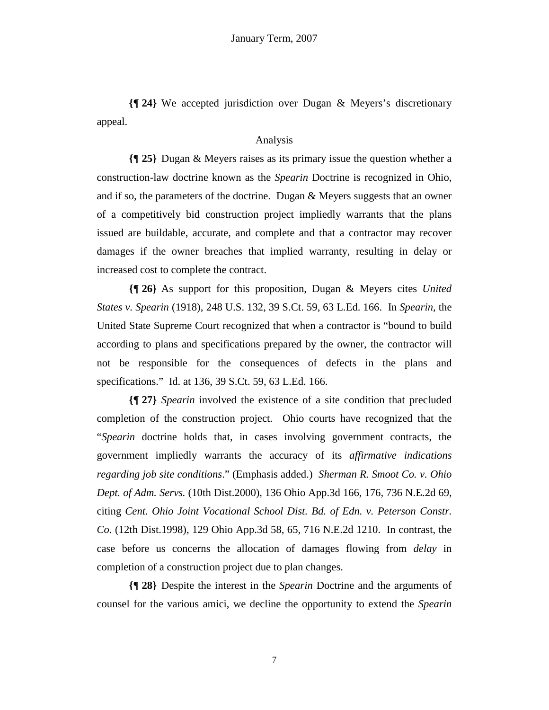**{¶ 24}** We accepted jurisdiction over Dugan & Meyers's discretionary appeal.

## Analysis

**{¶ 25}** Dugan & Meyers raises as its primary issue the question whether a construction-law doctrine known as the *Spearin* Doctrine is recognized in Ohio, and if so, the parameters of the doctrine. Dugan & Meyers suggests that an owner of a competitively bid construction project impliedly warrants that the plans issued are buildable, accurate, and complete and that a contractor may recover damages if the owner breaches that implied warranty, resulting in delay or increased cost to complete the contract.

**{¶ 26}** As support for this proposition, Dugan & Meyers cites *United States v. Spearin* (1918), 248 U.S. 132, 39 S.Ct. 59, 63 L.Ed. 166. In *Spearin,* the United State Supreme Court recognized that when a contractor is "bound to build according to plans and specifications prepared by the owner, the contractor will not be responsible for the consequences of defects in the plans and specifications." Id. at 136, 39 S.Ct. 59, 63 L.Ed. 166.

**{¶ 27}** *Spearin* involved the existence of a site condition that precluded completion of the construction project. Ohio courts have recognized that the "*Spearin* doctrine holds that, in cases involving government contracts, the government impliedly warrants the accuracy of its *affirmative indications regarding job site conditions*." (Emphasis added.) *Sherman R. Smoot Co. v. Ohio Dept. of Adm. Servs.* (10th Dist.2000), 136 Ohio App.3d 166, 176, 736 N.E.2d 69, citing *Cent. Ohio Joint Vocational School Dist. Bd. of Edn. v. Peterson Constr. Co.* (12th Dist.1998), 129 Ohio App.3d 58, 65, 716 N.E.2d 1210. In contrast, the case before us concerns the allocation of damages flowing from *delay* in completion of a construction project due to plan changes.

**{¶ 28}** Despite the interest in the *Spearin* Doctrine and the arguments of counsel for the various amici, we decline the opportunity to extend the *Spearin*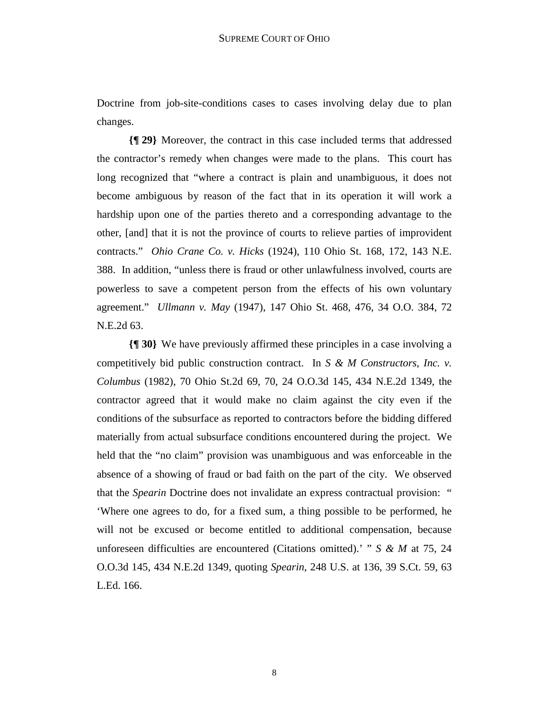Doctrine from job-site-conditions cases to cases involving delay due to plan changes.

**{¶ 29}** Moreover, the contract in this case included terms that addressed the contractor's remedy when changes were made to the plans. This court has long recognized that "where a contract is plain and unambiguous, it does not become ambiguous by reason of the fact that in its operation it will work a hardship upon one of the parties thereto and a corresponding advantage to the other, [and] that it is not the province of courts to relieve parties of improvident contracts." *Ohio Crane Co. v. Hicks* (1924), 110 Ohio St. 168, 172, 143 N.E. 388. In addition, "unless there is fraud or other unlawfulness involved, courts are powerless to save a competent person from the effects of his own voluntary agreement." *Ullmann v. May* (1947), 147 Ohio St. 468, 476, 34 O.O. 384, 72 N.E.2d 63.

**{¶ 30}** We have previously affirmed these principles in a case involving a competitively bid public construction contract. In *S & M Constructors, Inc. v. Columbus* (1982), 70 Ohio St.2d 69, 70, 24 O.O.3d 145, 434 N.E.2d 1349, the contractor agreed that it would make no claim against the city even if the conditions of the subsurface as reported to contractors before the bidding differed materially from actual subsurface conditions encountered during the project. We held that the "no claim" provision was unambiguous and was enforceable in the absence of a showing of fraud or bad faith on the part of the city. We observed that the *Spearin* Doctrine does not invalidate an express contractual provision: " 'Where one agrees to do, for a fixed sum, a thing possible to be performed, he will not be excused or become entitled to additional compensation, because unforeseen difficulties are encountered (Citations omitted).' " *S & M* at 75, 24 O.O.3d 145, 434 N.E.2d 1349, quoting *Spearin*, 248 U.S. at 136, 39 S.Ct. 59, 63 L.Ed. 166.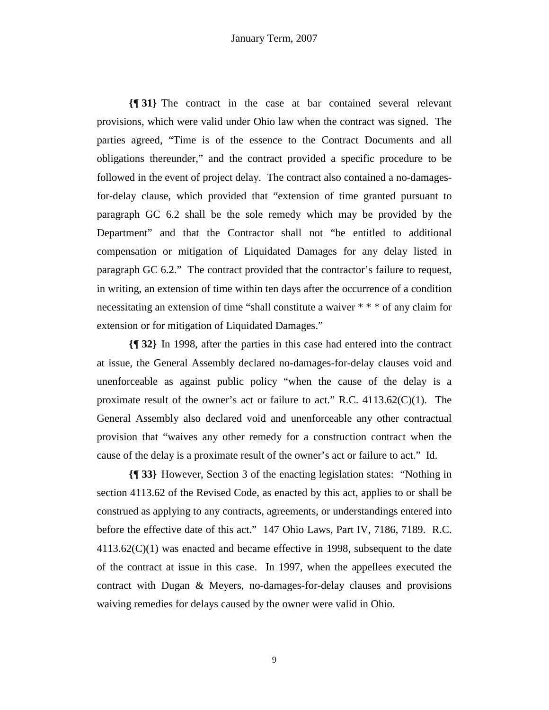**{¶ 31}** The contract in the case at bar contained several relevant provisions, which were valid under Ohio law when the contract was signed. The parties agreed, "Time is of the essence to the Contract Documents and all obligations thereunder," and the contract provided a specific procedure to be followed in the event of project delay. The contract also contained a no-damagesfor-delay clause, which provided that "extension of time granted pursuant to paragraph GC 6.2 shall be the sole remedy which may be provided by the Department" and that the Contractor shall not "be entitled to additional compensation or mitigation of Liquidated Damages for any delay listed in paragraph GC 6.2." The contract provided that the contractor's failure to request, in writing, an extension of time within ten days after the occurrence of a condition necessitating an extension of time "shall constitute a waiver  $***$  of any claim for extension or for mitigation of Liquidated Damages."

**{¶ 32}** In 1998, after the parties in this case had entered into the contract at issue, the General Assembly declared no-damages-for-delay clauses void and unenforceable as against public policy "when the cause of the delay is a proximate result of the owner's act or failure to act." R.C.  $4113.62(C)(1)$ . The General Assembly also declared void and unenforceable any other contractual provision that "waives any other remedy for a construction contract when the cause of the delay is a proximate result of the owner's act or failure to act." Id.

**{¶ 33}** However, Section 3 of the enacting legislation states: "Nothing in section 4113.62 of the Revised Code, as enacted by this act, applies to or shall be construed as applying to any contracts, agreements, or understandings entered into before the effective date of this act." 147 Ohio Laws, Part IV, 7186, 7189. R.C. 4113.62(C)(1) was enacted and became effective in 1998, subsequent to the date of the contract at issue in this case. In 1997, when the appellees executed the contract with Dugan & Meyers, no-damages-for-delay clauses and provisions waiving remedies for delays caused by the owner were valid in Ohio.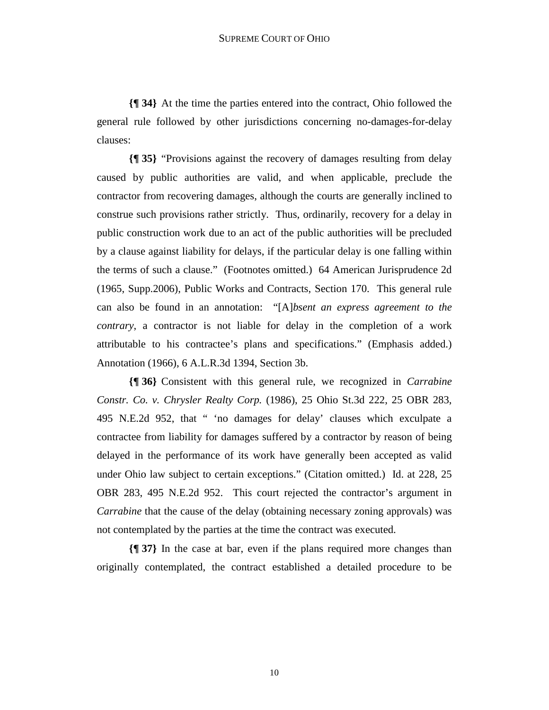**{¶ 34}** At the time the parties entered into the contract, Ohio followed the general rule followed by other jurisdictions concerning no-damages-for-delay clauses:

**{¶ 35}** "Provisions against the recovery of damages resulting from delay caused by public authorities are valid, and when applicable, preclude the contractor from recovering damages, although the courts are generally inclined to construe such provisions rather strictly. Thus, ordinarily, recovery for a delay in public construction work due to an act of the public authorities will be precluded by a clause against liability for delays, if the particular delay is one falling within the terms of such a clause." (Footnotes omitted.) 64 American Jurisprudence 2d (1965, Supp.2006), Public Works and Contracts, Section 170. This general rule can also be found in an annotation: "[A]*bsent an express agreement to the contrary*, a contractor is not liable for delay in the completion of a work attributable to his contractee's plans and specifications." (Emphasis added.) Annotation (1966), 6 A.L.R.3d 1394, Section 3b.

**{¶ 36}** Consistent with this general rule, we recognized in *Carrabine Constr. Co. v. Chrysler Realty Corp.* (1986), 25 Ohio St.3d 222, 25 OBR 283, 495 N.E.2d 952, that " 'no damages for delay' clauses which exculpate a contractee from liability for damages suffered by a contractor by reason of being delayed in the performance of its work have generally been accepted as valid under Ohio law subject to certain exceptions." (Citation omitted.) Id. at 228, 25 OBR 283, 495 N.E.2d 952. This court rejected the contractor's argument in *Carrabine* that the cause of the delay (obtaining necessary zoning approvals) was not contemplated by the parties at the time the contract was executed.

**{¶ 37}** In the case at bar, even if the plans required more changes than originally contemplated, the contract established a detailed procedure to be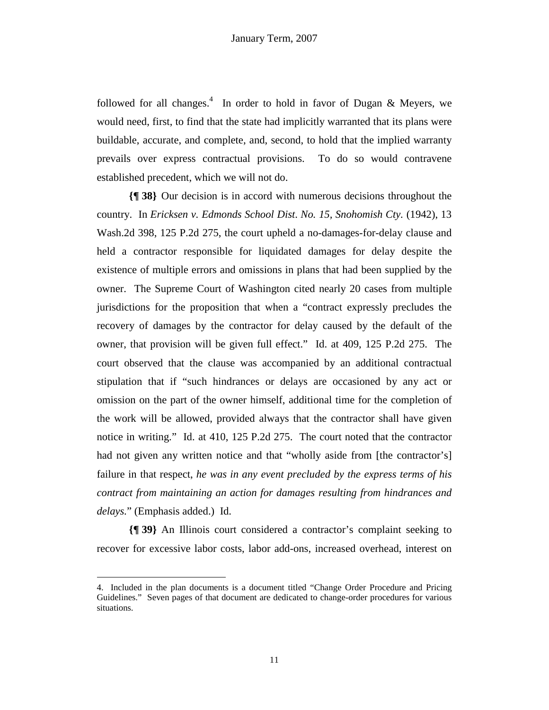followed for all changes.<sup>4</sup> In order to hold in favor of Dugan & Meyers, we would need, first, to find that the state had implicitly warranted that its plans were buildable, accurate, and complete, and, second, to hold that the implied warranty prevails over express contractual provisions. To do so would contravene established precedent, which we will not do.

**{¶ 38}** Our decision is in accord with numerous decisions throughout the country. In *Ericksen v. Edmonds School Dist*. *No. 15, Snohomish Cty.* (1942), 13 Wash.2d 398, 125 P.2d 275, the court upheld a no-damages-for-delay clause and held a contractor responsible for liquidated damages for delay despite the existence of multiple errors and omissions in plans that had been supplied by the owner. The Supreme Court of Washington cited nearly 20 cases from multiple jurisdictions for the proposition that when a "contract expressly precludes the recovery of damages by the contractor for delay caused by the default of the owner, that provision will be given full effect." Id. at 409, 125 P.2d 275. The court observed that the clause was accompanied by an additional contractual stipulation that if "such hindrances or delays are occasioned by any act or omission on the part of the owner himself, additional time for the completion of the work will be allowed, provided always that the contractor shall have given notice in writing." Id. at 410, 125 P.2d 275. The court noted that the contractor had not given any written notice and that "wholly aside from [the contractor's] failure in that respect, *he was in any event precluded by the express terms of his contract from maintaining an action for damages resulting from hindrances and delays.*" (Emphasis added.) Id.

**{¶ 39}** An Illinois court considered a contractor's complaint seeking to recover for excessive labor costs, labor add-ons, increased overhead, interest on

<sup>4.</sup> Included in the plan documents is a document titled "Change Order Procedure and Pricing Guidelines." Seven pages of that document are dedicated to change-order procedures for various situations.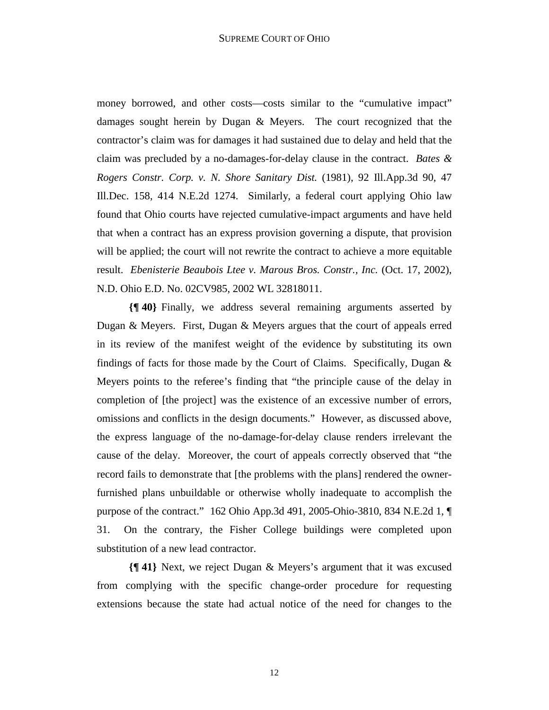money borrowed, and other costs—costs similar to the "cumulative impact" damages sought herein by Dugan & Meyers. The court recognized that the contractor's claim was for damages it had sustained due to delay and held that the claim was precluded by a no-damages-for-delay clause in the contract. *Bates & Rogers Constr. Corp. v. N. Shore Sanitary Dist.* (1981), 92 Ill.App.3d 90, 47 Ill.Dec. 158, 414 N.E.2d 1274. Similarly, a federal court applying Ohio law found that Ohio courts have rejected cumulative-impact arguments and have held that when a contract has an express provision governing a dispute, that provision will be applied; the court will not rewrite the contract to achieve a more equitable result. *Ebenisterie Beaubois Ltee v. Marous Bros. Constr., Inc.* (Oct. 17, 2002), N.D. Ohio E.D. No. 02CV985, 2002 WL 32818011.

**{¶ 40}** Finally, we address several remaining arguments asserted by Dugan & Meyers. First, Dugan & Meyers argues that the court of appeals erred in its review of the manifest weight of the evidence by substituting its own findings of facts for those made by the Court of Claims. Specifically, Dugan & Meyers points to the referee's finding that "the principle cause of the delay in completion of [the project] was the existence of an excessive number of errors, omissions and conflicts in the design documents." However, as discussed above, the express language of the no-damage-for-delay clause renders irrelevant the cause of the delay. Moreover, the court of appeals correctly observed that "the record fails to demonstrate that [the problems with the plans] rendered the ownerfurnished plans unbuildable or otherwise wholly inadequate to accomplish the purpose of the contract." 162 Ohio App.3d 491, 2005-Ohio-3810, 834 N.E.2d 1, ¶ 31. On the contrary, the Fisher College buildings were completed upon substitution of a new lead contractor.

**{¶ 41}** Next, we reject Dugan & Meyers's argument that it was excused from complying with the specific change-order procedure for requesting extensions because the state had actual notice of the need for changes to the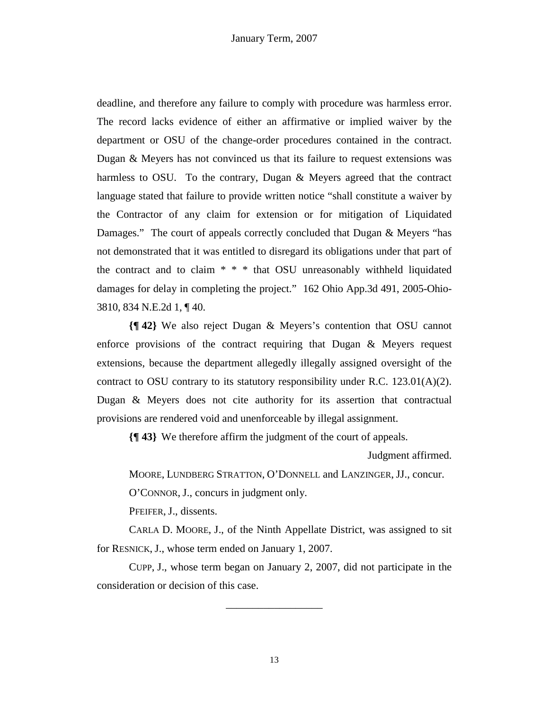deadline, and therefore any failure to comply with procedure was harmless error. The record lacks evidence of either an affirmative or implied waiver by the department or OSU of the change-order procedures contained in the contract. Dugan & Meyers has not convinced us that its failure to request extensions was harmless to OSU. To the contrary, Dugan & Meyers agreed that the contract language stated that failure to provide written notice "shall constitute a waiver by the Contractor of any claim for extension or for mitigation of Liquidated Damages." The court of appeals correctly concluded that Dugan & Meyers "has not demonstrated that it was entitled to disregard its obligations under that part of the contract and to claim \* \* \* that OSU unreasonably withheld liquidated damages for delay in completing the project." 162 Ohio App.3d 491, 2005-Ohio-3810, 834 N.E.2d 1, ¶ 40.

**{¶ 42}** We also reject Dugan & Meyers's contention that OSU cannot enforce provisions of the contract requiring that Dugan & Meyers request extensions, because the department allegedly illegally assigned oversight of the contract to OSU contrary to its statutory responsibility under R.C. 123.01(A)(2). Dugan & Meyers does not cite authority for its assertion that contractual provisions are rendered void and unenforceable by illegal assignment.

**{¶ 43}** We therefore affirm the judgment of the court of appeals.

Judgment affirmed.

MOORE, LUNDBERG STRATTON, O'DONNELL and LANZINGER, JJ., concur.

O'CONNOR, J., concurs in judgment only.

PFEIFER, J., dissents.

 CARLA D. MOORE, J., of the Ninth Appellate District, was assigned to sit for RESNICK, J., whose term ended on January 1, 2007.

 CUPP, J., whose term began on January 2, 2007, did not participate in the consideration or decision of this case.

\_\_\_\_\_\_\_\_\_\_\_\_\_\_\_\_\_\_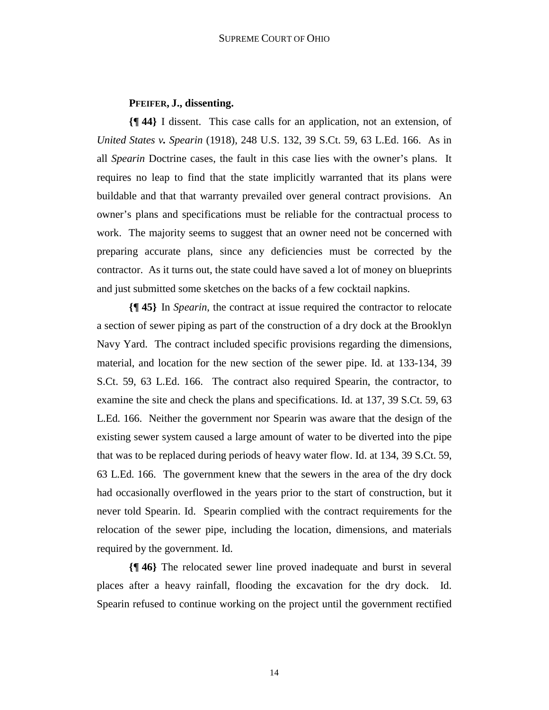# **PFEIFER, J., dissenting.**

**{¶ 44}** I dissent. This case calls for an application, not an extension, of *United States v. Spearin* (1918), 248 U.S. 132, 39 S.Ct. 59, 63 L.Ed. 166. As in all *Spearin* Doctrine cases, the fault in this case lies with the owner's plans. It requires no leap to find that the state implicitly warranted that its plans were buildable and that that warranty prevailed over general contract provisions. An owner's plans and specifications must be reliable for the contractual process to work. The majority seems to suggest that an owner need not be concerned with preparing accurate plans, since any deficiencies must be corrected by the contractor. As it turns out, the state could have saved a lot of money on blueprints and just submitted some sketches on the backs of a few cocktail napkins.

**{¶ 45}** In *Spearin*, the contract at issue required the contractor to relocate a section of sewer piping as part of the construction of a dry dock at the Brooklyn Navy Yard. The contract included specific provisions regarding the dimensions, material, and location for the new section of the sewer pipe. Id. at 133-134, 39 S.Ct. 59, 63 L.Ed. 166. The contract also required Spearin, the contractor, to examine the site and check the plans and specifications. Id. at 137, 39 S.Ct. 59, 63 L.Ed. 166. Neither the government nor Spearin was aware that the design of the existing sewer system caused a large amount of water to be diverted into the pipe that was to be replaced during periods of heavy water flow. Id. at 134, 39 S.Ct. 59, 63 L.Ed. 166. The government knew that the sewers in the area of the dry dock had occasionally overflowed in the years prior to the start of construction, but it never told Spearin. Id. Spearin complied with the contract requirements for the relocation of the sewer pipe, including the location, dimensions, and materials required by the government. Id.

**{¶ 46}** The relocated sewer line proved inadequate and burst in several places after a heavy rainfall, flooding the excavation for the dry dock. Id. Spearin refused to continue working on the project until the government rectified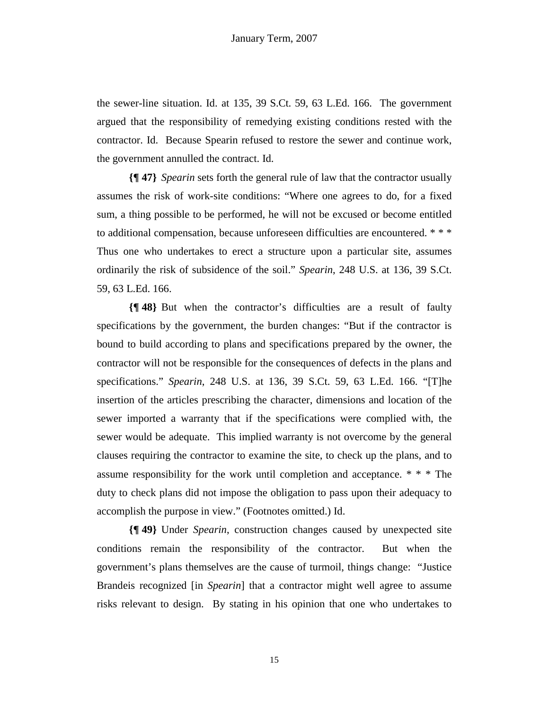the sewer-line situation. Id. at 135, 39 S.Ct. 59, 63 L.Ed. 166. The government argued that the responsibility of remedying existing conditions rested with the contractor. Id. Because Spearin refused to restore the sewer and continue work, the government annulled the contract. Id.

**{¶ 47}** *Spearin* sets forth the general rule of law that the contractor usually assumes the risk of work-site conditions: "Where one agrees to do, for a fixed sum, a thing possible to be performed, he will not be excused or become entitled to additional compensation, because unforeseen difficulties are encountered. \* \* \* Thus one who undertakes to erect a structure upon a particular site, assumes ordinarily the risk of subsidence of the soil." *Spearin*, 248 U.S. at 136, 39 S.Ct. 59, 63 L.Ed. 166.

**{¶ 48}** But when the contractor's difficulties are a result of faulty specifications by the government, the burden changes: "But if the contractor is bound to build according to plans and specifications prepared by the owner, the contractor will not be responsible for the consequences of defects in the plans and specifications." *Spearin*, 248 U.S. at 136, 39 S.Ct. 59, 63 L.Ed. 166. "[T]he insertion of the articles prescribing the character, dimensions and location of the sewer imported a warranty that if the specifications were complied with, the sewer would be adequate. This implied warranty is not overcome by the general clauses requiring the contractor to examine the site, to check up the plans, and to assume responsibility for the work until completion and acceptance. \* \* \* The duty to check plans did not impose the obligation to pass upon their adequacy to accomplish the purpose in view." (Footnotes omitted.) Id.

**{¶ 49}** Under *Spearin*, construction changes caused by unexpected site conditions remain the responsibility of the contractor. But when the government's plans themselves are the cause of turmoil, things change: "Justice Brandeis recognized [in *Spearin*] that a contractor might well agree to assume risks relevant to design. By stating in his opinion that one who undertakes to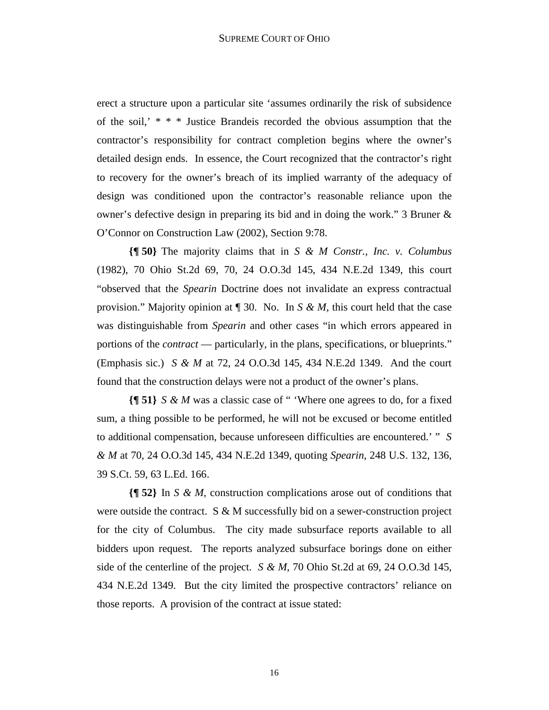erect a structure upon a particular site 'assumes ordinarily the risk of subsidence of the soil,' \* \* \* Justice Brandeis recorded the obvious assumption that the contractor's responsibility for contract completion begins where the owner's detailed design ends. In essence, the Court recognized that the contractor's right to recovery for the owner's breach of its implied warranty of the adequacy of design was conditioned upon the contractor's reasonable reliance upon the owner's defective design in preparing its bid and in doing the work." 3 Bruner & O'Connor on Construction Law (2002), Section 9:78.

**{¶ 50}** The majority claims that in *S & M Constr., Inc. v. Columbus*  (1982), 70 Ohio St.2d 69, 70, 24 O.O.3d 145, 434 N.E.2d 1349, this court "observed that the *Spearin* Doctrine does not invalidate an express contractual provision." Majority opinion at ¶ 30. No. In *S & M*, this court held that the case was distinguishable from *Spearin* and other cases "in which errors appeared in portions of the *contract* — particularly, in the plans, specifications, or blueprints." (Emphasis sic.) *S & M* at 72, 24 O.O.3d 145, 434 N.E.2d 1349. And the court found that the construction delays were not a product of the owner's plans.

**{¶ 51}** *S & M* was a classic case of " 'Where one agrees to do, for a fixed sum, a thing possible to be performed, he will not be excused or become entitled to additional compensation, because unforeseen difficulties are encountered.' " *S & M* at 70, 24 O.O.3d 145, 434 N.E.2d 1349, quoting *Spearin*, 248 U.S. 132, 136, 39 S.Ct. 59, 63 L.Ed. 166.

**{¶ 52}** In *S & M*, construction complications arose out of conditions that were outside the contract.  $S \& M$  successfully bid on a sewer-construction project for the city of Columbus. The city made subsurface reports available to all bidders upon request. The reports analyzed subsurface borings done on either side of the centerline of the project. *S & M*, 70 Ohio St.2d at 69, 24 O.O.3d 145, 434 N.E.2d 1349. But the city limited the prospective contractors' reliance on those reports. A provision of the contract at issue stated: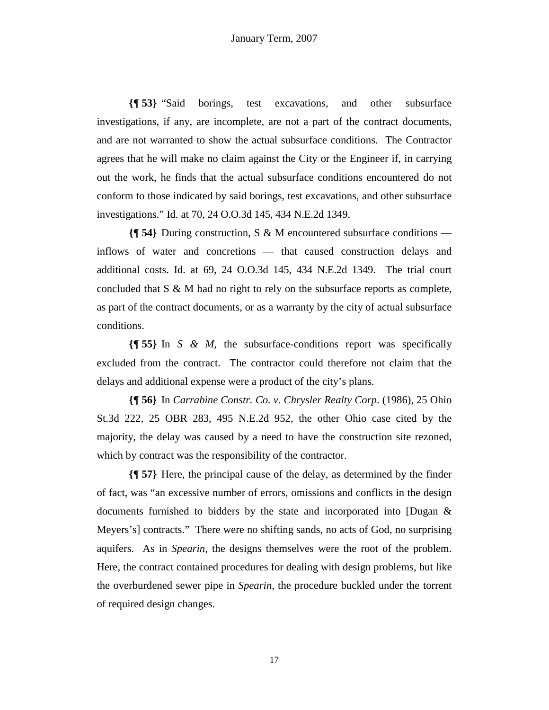**{¶ 53}** "Said borings, test excavations, and other subsurface investigations, if any, are incomplete, are not a part of the contract documents, and are not warranted to show the actual subsurface conditions. The Contractor agrees that he will make no claim against the City or the Engineer if, in carrying out the work, he finds that the actual subsurface conditions encountered do not conform to those indicated by said borings, test excavations, and other subsurface investigations." Id. at 70, 24 O.O.3d 145, 434 N.E.2d 1349.

**{¶ 54}** During construction, S & M encountered subsurface conditions inflows of water and concretions — that caused construction delays and additional costs. Id. at 69, 24 O.O.3d 145, 434 N.E.2d 1349. The trial court concluded that S & M had no right to rely on the subsurface reports as complete, as part of the contract documents, or as a warranty by the city of actual subsurface conditions.

**{¶ 55}** In *S & M*, the subsurface-conditions report was specifically excluded from the contract. The contractor could therefore not claim that the delays and additional expense were a product of the city's plans.

**{¶ 56}** In *Carrabine Constr. Co. v. Chrysler Realty Corp*. (1986), 25 Ohio St.3d 222, 25 OBR 283, 495 N.E.2d 952, the other Ohio case cited by the majority, the delay was caused by a need to have the construction site rezoned, which by contract was the responsibility of the contractor.

**{¶ 57}** Here, the principal cause of the delay, as determined by the finder of fact, was "an excessive number of errors, omissions and conflicts in the design documents furnished to bidders by the state and incorporated into [Dugan & Meyers's] contracts." There were no shifting sands, no acts of God, no surprising aquifers. As in *Spearin*, the designs themselves were the root of the problem. Here, the contract contained procedures for dealing with design problems, but like the overburdened sewer pipe in *Spearin*, the procedure buckled under the torrent of required design changes.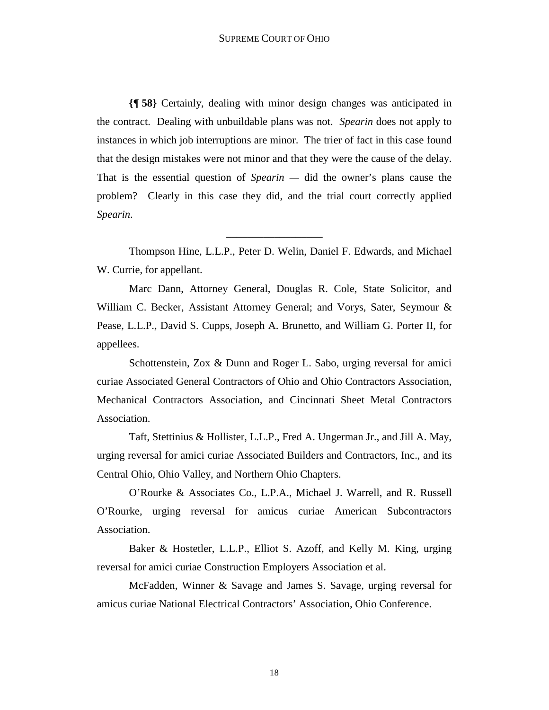**{¶ 58}** Certainly, dealing with minor design changes was anticipated in the contract. Dealing with unbuildable plans was not. *Spearin* does not apply to instances in which job interruptions are minor. The trier of fact in this case found that the design mistakes were not minor and that they were the cause of the delay. That is the essential question of *Spearin —* did the owner's plans cause the problem? Clearly in this case they did, and the trial court correctly applied *Spearin*.

 Thompson Hine, L.L.P., Peter D. Welin, Daniel F. Edwards, and Michael W. Currie, for appellant.

\_\_\_\_\_\_\_\_\_\_\_\_\_\_\_\_\_\_

 Marc Dann, Attorney General, Douglas R. Cole, State Solicitor, and William C. Becker, Assistant Attorney General; and Vorys, Sater, Seymour & Pease, L.L.P., David S. Cupps, Joseph A. Brunetto, and William G. Porter II, for appellees.

Schottenstein, Zox & Dunn and Roger L. Sabo, urging reversal for amici curiae Associated General Contractors of Ohio and Ohio Contractors Association, Mechanical Contractors Association, and Cincinnati Sheet Metal Contractors Association.

 Taft, Stettinius & Hollister, L.L.P., Fred A. Ungerman Jr., and Jill A. May, urging reversal for amici curiae Associated Builders and Contractors, Inc., and its Central Ohio, Ohio Valley, and Northern Ohio Chapters.

 O'Rourke & Associates Co., L.P.A., Michael J. Warrell, and R. Russell O'Rourke, urging reversal for amicus curiae American Subcontractors Association.

 Baker & Hostetler, L.L.P., Elliot S. Azoff, and Kelly M. King, urging reversal for amici curiae Construction Employers Association et al.

 McFadden, Winner & Savage and James S. Savage, urging reversal for amicus curiae National Electrical Contractors' Association, Ohio Conference.